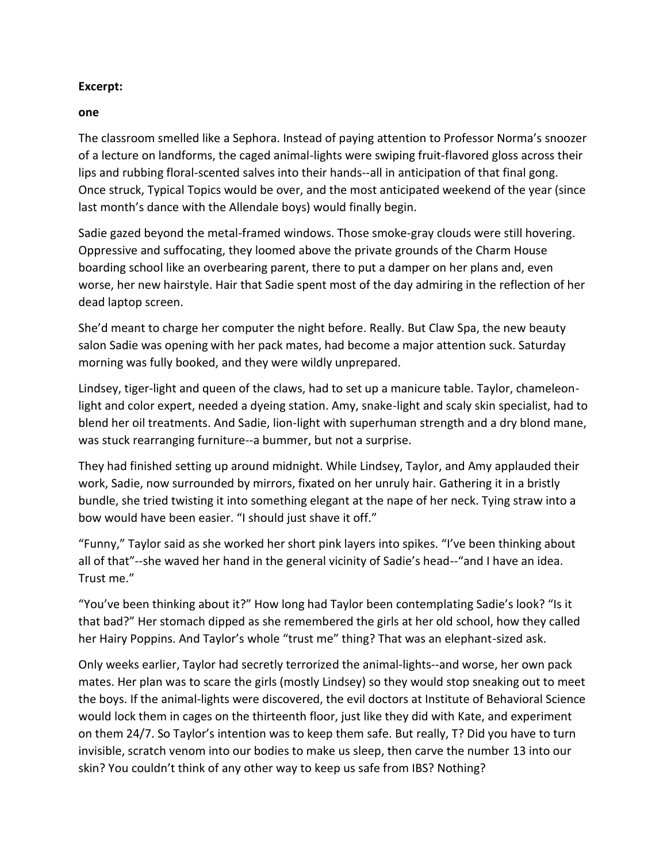## **Excerpt:**

## **one**

The classroom smelled like a Sephora. Instead of paying attention to Professor Norma's snoozer of a lecture on landforms, the caged animal-lights were swiping fruit-flavored gloss across their lips and rubbing floral-scented salves into their hands--all in anticipation of that final gong. Once struck, Typical Topics would be over, and the most anticipated weekend of the year (since last month's dance with the Allendale boys) would finally begin.

Sadie gazed beyond the metal-framed windows. Those smoke-gray clouds were still hovering. Oppressive and suffocating, they loomed above the private grounds of the Charm House boarding school like an overbearing parent, there to put a damper on her plans and, even worse, her new hairstyle. Hair that Sadie spent most of the day admiring in the reflection of her dead laptop screen.

She'd meant to charge her computer the night before. Really. But Claw Spa, the new beauty salon Sadie was opening with her pack mates, had become a major attention suck. Saturday morning was fully booked, and they were wildly unprepared.

Lindsey, tiger-light and queen of the claws, had to set up a manicure table. Taylor, chameleonlight and color expert, needed a dyeing station. Amy, snake-light and scaly skin specialist, had to blend her oil treatments. And Sadie, lion-light with superhuman strength and a dry blond mane, was stuck rearranging furniture--a bummer, but not a surprise.

They had finished setting up around midnight. While Lindsey, Taylor, and Amy applauded their work, Sadie, now surrounded by mirrors, fixated on her unruly hair. Gathering it in a bristly bundle, she tried twisting it into something elegant at the nape of her neck. Tying straw into a bow would have been easier. "I should just shave it off."

"Funny," Taylor said as she worked her short pink layers into spikes. "I've been thinking about all of that"--she waved her hand in the general vicinity of Sadie's head--"and I have an idea. Trust me."

"You've been thinking about it?" How long had Taylor been contemplating Sadie's look? "Is it that bad?" Her stomach dipped as she remembered the girls at her old school, how they called her Hairy Poppins. And Taylor's whole "trust me" thing? That was an elephant-sized ask.

Only weeks earlier, Taylor had secretly terrorized the animal-lights--and worse, her own pack mates. Her plan was to scare the girls (mostly Lindsey) so they would stop sneaking out to meet the boys. If the animal-lights were discovered, the evil doctors at Institute of Behavioral Science would lock them in cages on the thirteenth floor, just like they did with Kate, and experiment on them 24/7. So Taylor's intention was to keep them safe. But really, T? Did you have to turn invisible, scratch venom into our bodies to make us sleep, then carve the number 13 into our skin? You couldn't think of any other way to keep us safe from IBS? Nothing?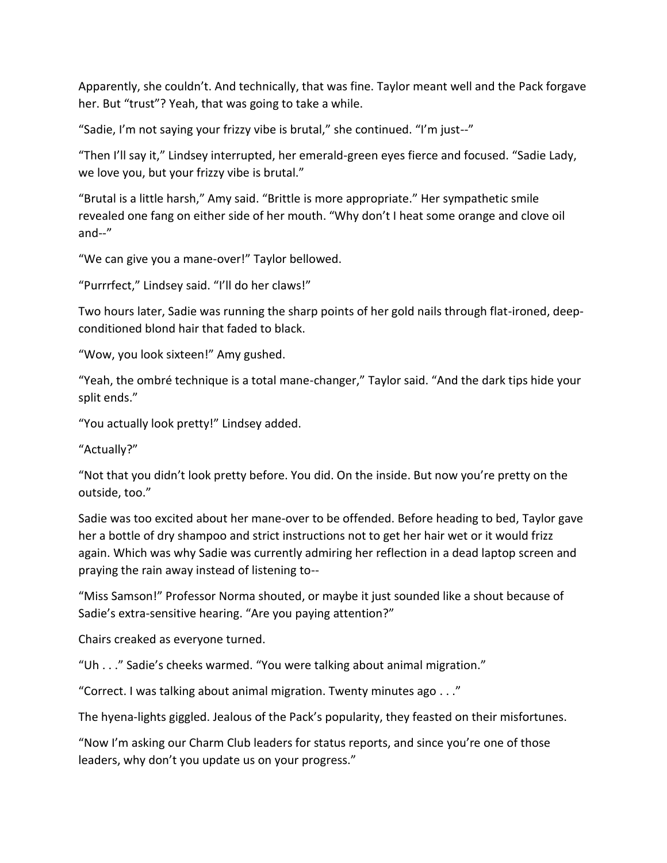Apparently, she couldn't. And technically, that was fine. Taylor meant well and the Pack forgave her. But "trust"? Yeah, that was going to take a while.

"Sadie, I'm not saying your frizzy vibe is brutal," she continued. "I'm just--"

"Then I'll say it," Lindsey interrupted, her emerald-green eyes fierce and focused. "Sadie Lady, we love you, but your frizzy vibe is brutal."

"Brutal is a little harsh," Amy said. "Brittle is more appropriate." Her sympathetic smile revealed one fang on either side of her mouth. "Why don't I heat some orange and clove oil and--"

"We can give you a mane-over!" Taylor bellowed.

"Purrrfect," Lindsey said. "I'll do her claws!"

Two hours later, Sadie was running the sharp points of her gold nails through flat-ironed, deepconditioned blond hair that faded to black.

"Wow, you look sixteen!" Amy gushed.

"Yeah, the ombré technique is a total mane-changer," Taylor said. "And the dark tips hide your split ends."

"You actually look pretty!" Lindsey added.

"Actually?"

"Not that you didn't look pretty before. You did. On the inside. But now you're pretty on the outside, too."

Sadie was too excited about her mane-over to be offended. Before heading to bed, Taylor gave her a bottle of dry shampoo and strict instructions not to get her hair wet or it would frizz again. Which was why Sadie was currently admiring her reflection in a dead laptop screen and praying the rain away instead of listening to--

"Miss Samson!" Professor Norma shouted, or maybe it just sounded like a shout because of Sadie's extra-sensitive hearing. "Are you paying attention?"

Chairs creaked as everyone turned.

"Uh . . ." Sadie's cheeks warmed. "You were talking about animal migration."

"Correct. I was talking about animal migration. Twenty minutes ago . . ."

The hyena-lights giggled. Jealous of the Pack's popularity, they feasted on their misfortunes.

"Now I'm asking our Charm Club leaders for status reports, and since you're one of those leaders, why don't you update us on your progress."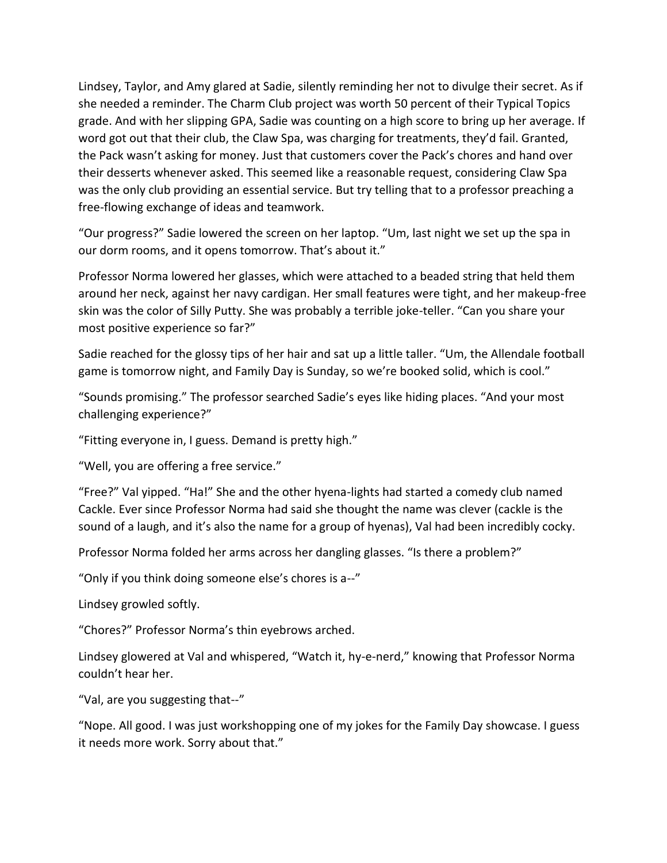Lindsey, Taylor, and Amy glared at Sadie, silently reminding her not to divulge their secret. As if she needed a reminder. The Charm Club project was worth 50 percent of their Typical Topics grade. And with her slipping GPA, Sadie was counting on a high score to bring up her average. If word got out that their club, the Claw Spa, was charging for treatments, they'd fail. Granted, the Pack wasn't asking for money. Just that customers cover the Pack's chores and hand over their desserts whenever asked. This seemed like a reasonable request, considering Claw Spa was the only club providing an essential service. But try telling that to a professor preaching a free-flowing exchange of ideas and teamwork.

"Our progress?" Sadie lowered the screen on her laptop. "Um, last night we set up the spa in our dorm rooms, and it opens tomorrow. That's about it."

Professor Norma lowered her glasses, which were attached to a beaded string that held them around her neck, against her navy cardigan. Her small features were tight, and her makeup-free skin was the color of Silly Putty. She was probably a terrible joke-teller. "Can you share your most positive experience so far?"

Sadie reached for the glossy tips of her hair and sat up a little taller. "Um, the Allendale football game is tomorrow night, and Family Day is Sunday, so we're booked solid, which is cool."

"Sounds promising." The professor searched Sadie's eyes like hiding places. "And your most challenging experience?"

"Fitting everyone in, I guess. Demand is pretty high."

"Well, you are offering a free service."

"Free?" Val yipped. "Ha!" She and the other hyena-lights had started a comedy club named Cackle. Ever since Professor Norma had said she thought the name was clever (cackle is the sound of a laugh, and it's also the name for a group of hyenas), Val had been incredibly cocky.

Professor Norma folded her arms across her dangling glasses. "Is there a problem?"

"Only if you think doing someone else's chores is a--"

Lindsey growled softly.

"Chores?" Professor Norma's thin eyebrows arched.

Lindsey glowered at Val and whispered, "Watch it, hy-e-nerd," knowing that Professor Norma couldn't hear her.

"Val, are you suggesting that--"

"Nope. All good. I was just workshopping one of my jokes for the Family Day showcase. I guess it needs more work. Sorry about that."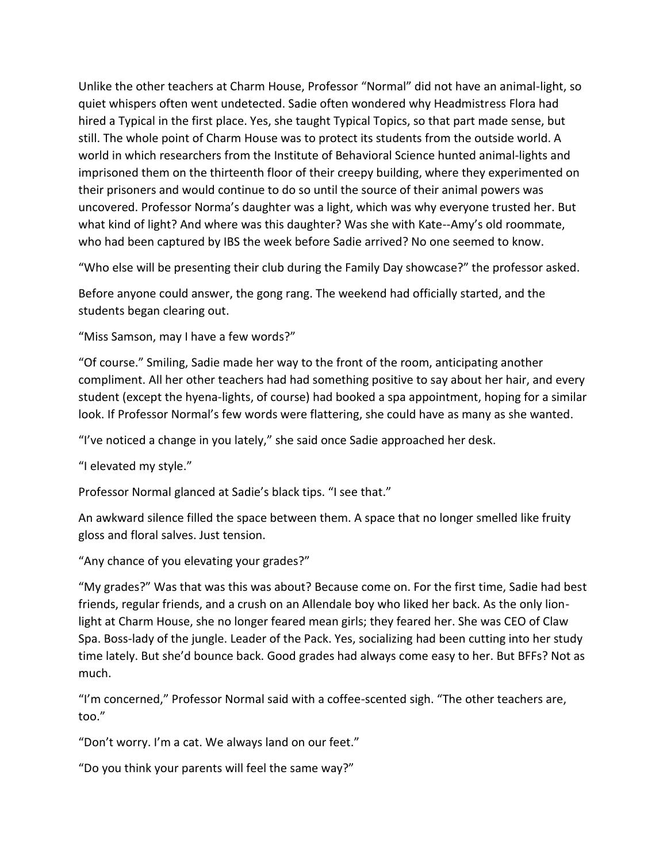Unlike the other teachers at Charm House, Professor "Normal" did not have an animal-light, so quiet whispers often went undetected. Sadie often wondered why Headmistress Flora had hired a Typical in the first place. Yes, she taught Typical Topics, so that part made sense, but still. The whole point of Charm House was to protect its students from the outside world. A world in which researchers from the Institute of Behavioral Science hunted animal-lights and imprisoned them on the thirteenth floor of their creepy building, where they experimented on their prisoners and would continue to do so until the source of their animal powers was uncovered. Professor Norma's daughter was a light, which was why everyone trusted her. But what kind of light? And where was this daughter? Was she with Kate--Amy's old roommate, who had been captured by IBS the week before Sadie arrived? No one seemed to know.

"Who else will be presenting their club during the Family Day showcase?" the professor asked.

Before anyone could answer, the gong rang. The weekend had officially started, and the students began clearing out.

"Miss Samson, may I have a few words?"

"Of course." Smiling, Sadie made her way to the front of the room, anticipating another compliment. All her other teachers had had something positive to say about her hair, and every student (except the hyena-lights, of course) had booked a spa appointment, hoping for a similar look. If Professor Normal's few words were flattering, she could have as many as she wanted.

"I've noticed a change in you lately," she said once Sadie approached her desk.

"I elevated my style."

Professor Normal glanced at Sadie's black tips. "I see that."

An awkward silence filled the space between them. A space that no longer smelled like fruity gloss and floral salves. Just tension.

"Any chance of you elevating your grades?"

"My grades?" Was that was this was about? Because come on. For the first time, Sadie had best friends, regular friends, and a crush on an Allendale boy who liked her back. As the only lionlight at Charm House, she no longer feared mean girls; they feared her. She was CEO of Claw Spa. Boss-lady of the jungle. Leader of the Pack. Yes, socializing had been cutting into her study time lately. But she'd bounce back. Good grades had always come easy to her. But BFFs? Not as much.

"I'm concerned," Professor Normal said with a coffee-scented sigh. "The other teachers are, too."

"Don't worry. I'm a cat. We always land on our feet."

"Do you think your parents will feel the same way?"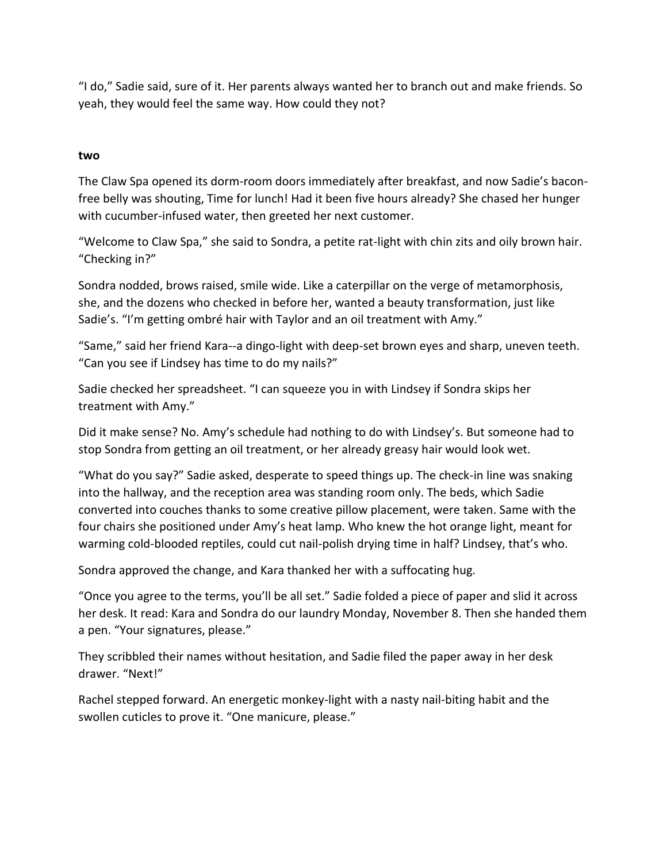"I do," Sadie said, sure of it. Her parents always wanted her to branch out and make friends. So yeah, they would feel the same way. How could they not?

## **two**

The Claw Spa opened its dorm-room doors immediately after breakfast, and now Sadie's baconfree belly was shouting, Time for lunch! Had it been five hours already? She chased her hunger with cucumber-infused water, then greeted her next customer.

"Welcome to Claw Spa," she said to Sondra, a petite rat-light with chin zits and oily brown hair. "Checking in?"

Sondra nodded, brows raised, smile wide. Like a caterpillar on the verge of metamorphosis, she, and the dozens who checked in before her, wanted a beauty transformation, just like Sadie's. "I'm getting ombré hair with Taylor and an oil treatment with Amy."

"Same," said her friend Kara--a dingo-light with deep-set brown eyes and sharp, uneven teeth. "Can you see if Lindsey has time to do my nails?"

Sadie checked her spreadsheet. "I can squeeze you in with Lindsey if Sondra skips her treatment with Amy."

Did it make sense? No. Amy's schedule had nothing to do with Lindsey's. But someone had to stop Sondra from getting an oil treatment, or her already greasy hair would look wet.

"What do you say?" Sadie asked, desperate to speed things up. The check-in line was snaking into the hallway, and the reception area was standing room only. The beds, which Sadie converted into couches thanks to some creative pillow placement, were taken. Same with the four chairs she positioned under Amy's heat lamp. Who knew the hot orange light, meant for warming cold-blooded reptiles, could cut nail-polish drying time in half? Lindsey, that's who.

Sondra approved the change, and Kara thanked her with a suffocating hug.

"Once you agree to the terms, you'll be all set." Sadie folded a piece of paper and slid it across her desk. It read: Kara and Sondra do our laundry Monday, November 8. Then she handed them a pen. "Your signatures, please."

They scribbled their names without hesitation, and Sadie filed the paper away in her desk drawer. "Next!"

Rachel stepped forward. An energetic monkey-light with a nasty nail-biting habit and the swollen cuticles to prove it. "One manicure, please."